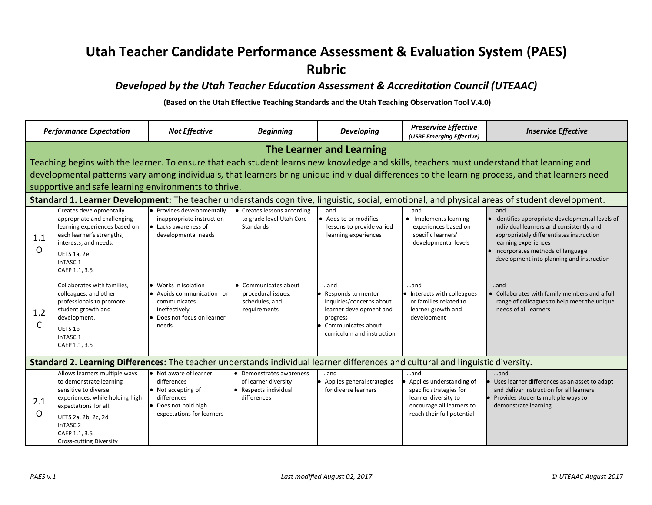## **Utah Teacher Candidate Performance Assessment & Evaluation System (PAES) Rubric**

## *Developed by the Utah Teacher Education Assessment & Accreditation Council (UTEAAC)*

**(Based on the Utah Effective Teaching Standards and the Utah Teaching Observation Tool V.4.0)**

|                                                                                                                                 | <b>Performance Expectation</b>                                                                                                                                                                                                                                                                                                                                                    | <b>Not Effective</b>                                                                                                                    | <b>Beginning</b>                                                                     | <b>Developing</b>                                                                                                                                    | <b>Preservice Effective</b><br>(USBE Emerging Effective)                                                                                      | <b>Inservice Effective</b>                                                                                                                                                                                                                                                                                                                                                                                  |
|---------------------------------------------------------------------------------------------------------------------------------|-----------------------------------------------------------------------------------------------------------------------------------------------------------------------------------------------------------------------------------------------------------------------------------------------------------------------------------------------------------------------------------|-----------------------------------------------------------------------------------------------------------------------------------------|--------------------------------------------------------------------------------------|------------------------------------------------------------------------------------------------------------------------------------------------------|-----------------------------------------------------------------------------------------------------------------------------------------------|-------------------------------------------------------------------------------------------------------------------------------------------------------------------------------------------------------------------------------------------------------------------------------------------------------------------------------------------------------------------------------------------------------------|
|                                                                                                                                 | The Learner and Learning<br>Teaching begins with the learner. To ensure that each student learns new knowledge and skills, teachers must understand that learning and<br>developmental patterns vary among individuals, that learners bring unique individual differences to the learning process, and that learners need<br>supportive and safe learning environments to thrive. |                                                                                                                                         |                                                                                      |                                                                                                                                                      |                                                                                                                                               |                                                                                                                                                                                                                                                                                                                                                                                                             |
| 1.1<br>$\circ$                                                                                                                  | Creates developmentally<br>appropriate and challenging<br>learning experiences based on<br>each learner's strengths,<br>interests, and needs.<br><b>UETS 1a, 2e</b><br>InTASC <sub>1</sub><br>CAEP 1.1, 3.5                                                                                                                                                                       | • Provides developmentally<br>inappropriate instruction<br>• Lacks awareness of<br>developmental needs                                  | • Creates lessons according<br>to grade level Utah Core<br>Standards                 | and<br>• Adds to or modifies<br>lessons to provide varied<br>learning experiences                                                                    | and<br>• Implements learning<br>experiences based on<br>specific learners'<br>developmental levels                                            | Standard 1. Learner Development: The teacher understands cognitive, linguistic, social, emotional, and physical areas of student development.<br>and<br>• Identifies appropriate developmental levels of<br>individual learners and consistently and<br>appropriately differentiates instruction<br>learning experiences<br>• Incorporates methods of language<br>development into planning and instruction |
| 1.2<br>C                                                                                                                        | Collaborates with families.<br>colleagues, and other<br>professionals to promote<br>student growth and<br>development.<br>UETS 1b<br>InTASC <sub>1</sub><br>CAEP 1.1, 3.5                                                                                                                                                                                                         | • Works in isolation<br>• Avoids communication or<br>communicates<br>ineffectively<br>• Does not focus on learner<br>needs              | • Communicates about<br>procedural issues,<br>schedules, and<br>requirements         | and<br>• Responds to mentor<br>inquiries/concerns about<br>learner development and<br>progress<br>• Communicates about<br>curriculum and instruction | and<br>• Interacts with colleagues<br>or families related to<br>learner growth and<br>development                                             | and<br>• Collaborates with family members and a full<br>range of colleagues to help meet the unique<br>needs of all learners                                                                                                                                                                                                                                                                                |
| Standard 2. Learning Differences: The teacher understands individual learner differences and cultural and linguistic diversity. |                                                                                                                                                                                                                                                                                                                                                                                   |                                                                                                                                         |                                                                                      |                                                                                                                                                      |                                                                                                                                               |                                                                                                                                                                                                                                                                                                                                                                                                             |
| 2.1<br>O                                                                                                                        | Allows learners multiple ways<br>to demonstrate learning<br>sensitive to diverse<br>experiences, while holding high<br>expectations for all.<br>UETS 2a, 2b, 2c, 2d<br>InTASC <sub>2</sub><br>CAEP 1.1, 3.5<br><b>Cross-cutting Diversity</b>                                                                                                                                     | • Not aware of learner<br>differences<br>$\bullet$ Not accepting of<br>differences<br>• Does not hold high<br>expectations for learners | Demonstrates awareness<br>of learner diversity<br>Respects individual<br>differences | and<br>• Applies general strategies<br>for diverse learners                                                                                          | and<br>Applies understanding of<br>specific strategies for<br>learner diversity to<br>encourage all learners to<br>reach their full potential | and<br>Uses learner differences as an asset to adapt<br>and deliver instruction for all learners<br>Provides students multiple ways to<br>demonstrate learning                                                                                                                                                                                                                                              |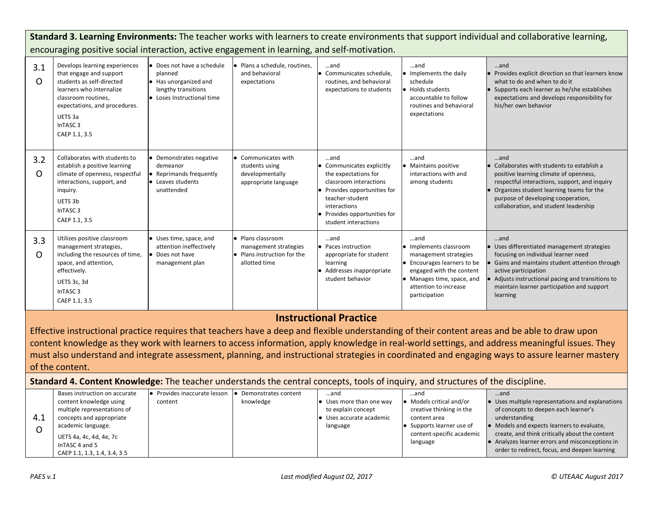|                                                                                                                                                                                                                                                                                                                                                                                                                                                       | Standard 3. Learning Environments: The teacher works with learners to create environments that support individual and collaborative learning,                                                                                |                                                                                                                     |                                                                                            |                                                                                                                                                                                                               |                                                                                                                                                                                                   |                                                                                                                                                                                                                                                                                 |
|-------------------------------------------------------------------------------------------------------------------------------------------------------------------------------------------------------------------------------------------------------------------------------------------------------------------------------------------------------------------------------------------------------------------------------------------------------|------------------------------------------------------------------------------------------------------------------------------------------------------------------------------------------------------------------------------|---------------------------------------------------------------------------------------------------------------------|--------------------------------------------------------------------------------------------|---------------------------------------------------------------------------------------------------------------------------------------------------------------------------------------------------------------|---------------------------------------------------------------------------------------------------------------------------------------------------------------------------------------------------|---------------------------------------------------------------------------------------------------------------------------------------------------------------------------------------------------------------------------------------------------------------------------------|
|                                                                                                                                                                                                                                                                                                                                                                                                                                                       | encouraging positive social interaction, active engagement in learning, and self-motivation.                                                                                                                                 |                                                                                                                     |                                                                                            |                                                                                                                                                                                                               |                                                                                                                                                                                                   |                                                                                                                                                                                                                                                                                 |
| 3.1<br>O                                                                                                                                                                                                                                                                                                                                                                                                                                              | Develops learning experiences<br>that engage and support<br>students as self-directed<br>learners who internalize<br>classroom routines,<br>expectations, and procedures.<br>UETS 3a<br>InTASC <sub>3</sub><br>CAEP 1.1, 3.5 | • Does not have a schedule<br>planned<br>• Has unorganized and<br>lengthy transitions<br>• Loses Instructional time | Plans a schedule, routines,<br>and behavioral<br>expectations                              | and<br>• Communicates schedule,<br>routines, and behavioral<br>expectations to students                                                                                                                       | and<br>• Implements the daily<br>schedule<br>● Holds students<br>accountable to follow<br>routines and behavioral<br>expectations                                                                 | and<br>• Provides explicit direction so that learners know<br>what to do and when to do it<br>• Supports each learner as he/she establishes<br>expectations and develops responsibility for<br>his/her own behavior                                                             |
| 3.2<br>O                                                                                                                                                                                                                                                                                                                                                                                                                                              | Collaborates with students to<br>establish a positive learning<br>climate of openness, respectful<br>interactions, support, and<br>inquiry.<br>UETS 3b<br>InTASC <sub>3</sub><br>CAEP 1.1, 3.5                               | • Demonstrates negative<br>demeanor<br>• Reprimands frequently<br>• Leaves students<br>unattended                   | • Communicates with<br>students using<br>developmentally<br>appropriate language           | and<br>• Communicates explicitly<br>the expectations for<br>classroom interactions<br>• Provides opportunities for<br>teacher-student<br>interactions<br>• Provides opportunities for<br>student interactions | and<br>• Maintains positive<br>interactions with and<br>among students                                                                                                                            | and<br>• Collaborates with students to establish a<br>positive learning climate of openness,<br>respectful interactions, support, and inquiry<br>• Organizes student learning teams for the<br>purpose of developing cooperation,<br>collaboration, and student leadership      |
| 3.3<br>$\Omega$                                                                                                                                                                                                                                                                                                                                                                                                                                       | Utilizes positive classroom<br>management strategies,<br>including the resources of time,<br>space, and attention,<br>effectively.<br>UETS 3c, 3d<br>InTASC <sub>3</sub><br>CAEP 1.1, 3.5                                    | • Uses time, space, and<br>attention ineffectively<br>• Does not have<br>management plan                            | · Plans classroom<br>management strategies<br>• Plans instruction for the<br>allotted time | and<br>• Paces instruction<br>appropriate for student<br>learning<br>• Addresses inappropriate<br>student behavior                                                                                            | and<br>• Implements classroom<br>management strategies<br>• Encourages learners to be<br>engaged with the content<br>$\bullet$ Manages time, space, and<br>attention to increase<br>participation | and<br>• Uses differentiated management strategies<br>focusing on individual learner need<br>Gains and maintains student attention through<br>active participation<br>Adjusts instructional pacing and transitions to<br>maintain learner participation and support<br>learning |
|                                                                                                                                                                                                                                                                                                                                                                                                                                                       | <b>Instructional Practice</b>                                                                                                                                                                                                |                                                                                                                     |                                                                                            |                                                                                                                                                                                                               |                                                                                                                                                                                                   |                                                                                                                                                                                                                                                                                 |
| Effective instructional practice requires that teachers have a deep and flexible understanding of their content areas and be able to draw upon<br>content knowledge as they work with learners to access information, apply knowledge in real-world settings, and address meaningful issues. They<br>must also understand and integrate assessment, planning, and instructional strategies in coordinated and engaging ways to assure learner mastery |                                                                                                                                                                                                                              |                                                                                                                     |                                                                                            |                                                                                                                                                                                                               |                                                                                                                                                                                                   |                                                                                                                                                                                                                                                                                 |

of the content.

**Standard 4. Content Knowledge:** The teacher understands the central concepts, tools of inquiry, and structures of the discipline.

|     | Bases instruction on accurate | • Provides inaccurate lesson | Demonstrates content | …and                             | …and                             | and                                                      |
|-----|-------------------------------|------------------------------|----------------------|----------------------------------|----------------------------------|----------------------------------------------------------|
|     | content knowledge using       | content                      | knowledge            | $\bullet$ Uses more than one way | $\bullet$ Models critical and/or | $\bullet$ Uses multiple representations and explanations |
|     | multiple representations of   |                              |                      | to explain concept               | creative thinking in the         | of concepts to deepen each learner's                     |
| 4.1 | concepts and appropriate      |                              |                      | $\bullet$ Uses accurate academic | content area                     | understanding                                            |
|     | academic language.            |                              |                      | language                         | • Supports learner use of        | • Models and expects learners to evaluate,               |
|     | UETS 4a, 4c, 4d, 4e, 7c       |                              |                      |                                  | content-specific academic        | create, and think critically about the content           |
|     | In TASC 4 and 5               |                              |                      |                                  | language                         | • Analyzes learner errors and misconceptions in          |
|     | CAEP 1.1, 1.3, 1.4, 3.4, 3.5  |                              |                      |                                  |                                  | order to redirect, focus, and deepen learning            |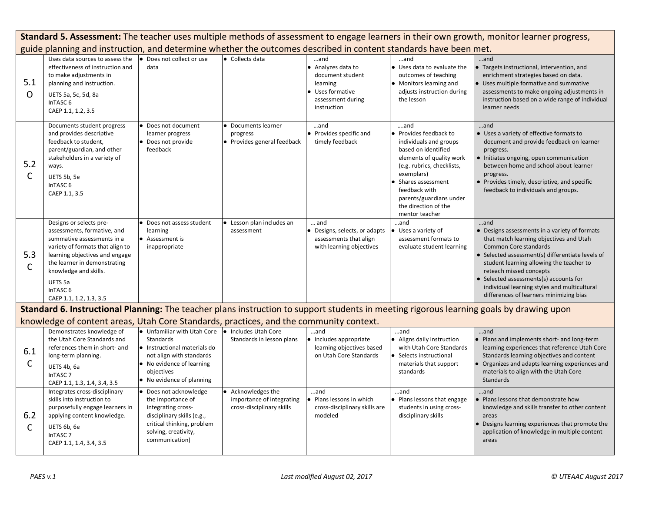|                                                                                                                                          | Standard 5. Assessment: The teacher uses multiple methods of assessment to engage learners in their own growth, monitor learner progress,                                                                                                                                        |                                                                                                                                                                          |                                                                            |                                                                                                                      |                                                                                                                                                                                                                                                                     |                                                                                                                                                                                                                                                                                                                                                                                                 |
|------------------------------------------------------------------------------------------------------------------------------------------|----------------------------------------------------------------------------------------------------------------------------------------------------------------------------------------------------------------------------------------------------------------------------------|--------------------------------------------------------------------------------------------------------------------------------------------------------------------------|----------------------------------------------------------------------------|----------------------------------------------------------------------------------------------------------------------|---------------------------------------------------------------------------------------------------------------------------------------------------------------------------------------------------------------------------------------------------------------------|-------------------------------------------------------------------------------------------------------------------------------------------------------------------------------------------------------------------------------------------------------------------------------------------------------------------------------------------------------------------------------------------------|
|                                                                                                                                          | guide planning and instruction, and determine whether the outcomes described in content standards have been met.                                                                                                                                                                 |                                                                                                                                                                          |                                                                            |                                                                                                                      |                                                                                                                                                                                                                                                                     |                                                                                                                                                                                                                                                                                                                                                                                                 |
| 5.1<br>$\Omega$                                                                                                                          | Uses data sources to assess the<br>effectiveness of instruction and<br>to make adjustments in<br>planning and instruction.<br>UETS 5a, 5c, 5d, 8a<br>InTASC <sub>6</sub><br>CAEP 1.1, 1.2, 3.5                                                                                   | Does not collect or use<br>data                                                                                                                                          | • Collects data                                                            | $$ and<br>• Analyzes data to<br>document student<br>learning<br>• Uses formative<br>assessment during<br>instruction | $$ and<br>• Uses data to evaluate the<br>outcomes of teaching<br>• Monitors learning and<br>adjusts instruction during<br>the lesson                                                                                                                                | and<br>• Targets instructional, intervention, and<br>enrichment strategies based on data.<br>• Uses multiple formative and summative<br>assessments to make ongoing adjustments in<br>instruction based on a wide range of individual<br>learner needs                                                                                                                                          |
| 5.2<br>$\mathsf{C}$                                                                                                                      | Documents student progress<br>and provides descriptive<br>feedback to student,<br>parent/guardian, and other<br>stakeholders in a variety of<br>ways.<br>UETS 5b, 5e<br>InTASC <sub>6</sub><br>CAEP 1.1, 3.5                                                                     | Does not document<br>learner progress<br>• Does not provide<br>feedback                                                                                                  | Documents learner<br>progress<br>• Provides general feedback               | and<br>• Provides specific and<br>timely feedback                                                                    | and<br>• Provides feedback to<br>individuals and groups<br>based on identified<br>elements of quality work<br>(e.g. rubrics, checklists,<br>exemplars)<br>• Shares assessment<br>feedback with<br>parents/guardians under<br>the direction of the<br>mentor teacher | and<br>• Uses a variety of effective formats to<br>document and provide feedback on learner<br>progress.<br>• Initiates ongoing, open communication<br>between home and school about learner<br>progress.<br>• Provides timely, descriptive, and specific<br>feedback to individuals and groups.                                                                                                |
| 5.3<br>$\mathsf{C}$                                                                                                                      | Designs or selects pre-<br>assessments, formative, and<br>summative assessments in a<br>variety of formats that align to<br>learning objectives and engage<br>the learner in demonstrating<br>knowledge and skills.<br>UETS 5a<br>InTASC <sub>6</sub><br>CAEP 1.1, 1.2, 1.3, 3.5 | Does not assess student<br>learning<br>Assessment is<br>inappropriate                                                                                                    | Lesson plan includes an<br>assessment                                      | $\dots$ and<br>· Designs, selects, or adapts<br>assessments that align<br>with learning objectives                   | and<br>Uses a variety of<br>assessment formats to<br>evaluate student learning                                                                                                                                                                                      | and<br>• Designs assessments in a variety of formats<br>that match learning objectives and Utah<br><b>Common Core standards</b><br>• Selected assessment(s) differentiate levels of<br>student learning allowing the teacher to<br>reteach missed concepts<br>• Selected assessments(s) accounts for<br>individual learning styles and multicultural<br>differences of learners minimizing bias |
| Standard 6. Instructional Planning: The teacher plans instruction to support students in meeting rigorous learning goals by drawing upon |                                                                                                                                                                                                                                                                                  |                                                                                                                                                                          |                                                                            |                                                                                                                      |                                                                                                                                                                                                                                                                     |                                                                                                                                                                                                                                                                                                                                                                                                 |
|                                                                                                                                          | knowledge of content areas, Utah Core Standards, practices, and the community context.                                                                                                                                                                                           |                                                                                                                                                                          |                                                                            |                                                                                                                      |                                                                                                                                                                                                                                                                     |                                                                                                                                                                                                                                                                                                                                                                                                 |
| 6.1<br>$\mathsf{C}$                                                                                                                      | Demonstrates knowledge of<br>the Utah Core Standards and<br>references them in short- and<br>long-term planning.<br>UETS 4b, 6a<br>InTASC <sub>7</sub><br>CAEP 1.1, 1.3, 1.4, 3.4, 3.5                                                                                           | • Unfamiliar with Utah Core<br>Standards<br>· Instructional materials do<br>not align with standards<br>No evidence of learning<br>objectives<br>No evidence of planning | Includes Utah Core<br>$\bullet$<br>Standards in lesson plans               | and<br>· Includes appropriate<br>learning objectives based<br>on Utah Core Standards                                 | and<br>• Aligns daily instruction<br>with Utah Core Standards<br>• Selects instructional<br>materials that support<br>standards                                                                                                                                     | and<br>• Plans and implements short- and long-term<br>learning experiences that reference Utah Core<br>Standards learning objectives and content<br>• Organizes and adapts learning experiences and<br>materials to align with the Utah Core<br>Standards                                                                                                                                       |
| 6.2<br>$\mathsf{C}$                                                                                                                      | Integrates cross-disciplinary<br>skills into instruction to<br>purposefully engage learners in<br>applying content knowledge.<br>UETS 6b, 6e<br>InTASC <sub>7</sub><br>CAEP 1.1, 1.4, 3.4, 3.5                                                                                   | Does not acknowledge<br>the importance of<br>integrating cross-<br>disciplinary skills (e.g.,<br>critical thinking, problem<br>solving, creativity,<br>communication)    | Acknowledges the<br>importance of integrating<br>cross-disciplinary skills | and<br>• Plans lessons in which<br>cross-disciplinary skills are<br>modeled                                          | and<br>• Plans lessons that engage<br>students in using cross-<br>disciplinary skills                                                                                                                                                                               | and<br>. Plans lessons that demonstrate how<br>knowledge and skills transfer to other content<br>areas<br>• Designs learning experiences that promote the<br>application of knowledge in multiple content<br>areas                                                                                                                                                                              |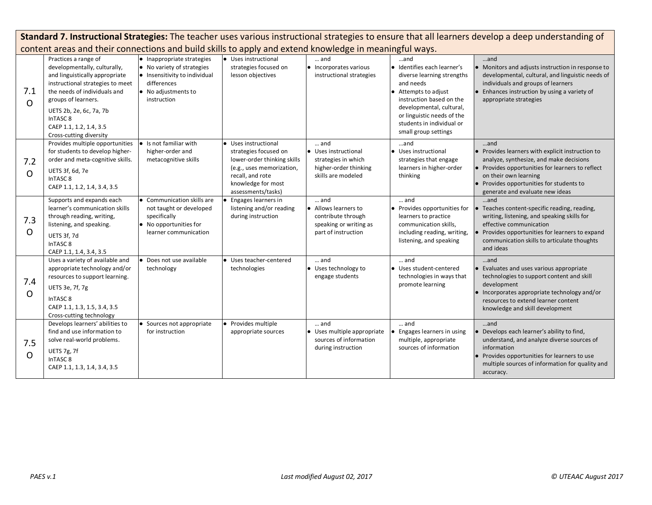|                 | Standard 7. Instructional Strategies: The teacher uses various instructional strategies to ensure that all learners develop a deep understanding of                                                                                                                                       |                                                                                                                                                |                                                                                                                                                                         |                                                                                                            |                                                                                                                                                                                                                                                  |                                                                                                                                                                                                                                                                |
|-----------------|-------------------------------------------------------------------------------------------------------------------------------------------------------------------------------------------------------------------------------------------------------------------------------------------|------------------------------------------------------------------------------------------------------------------------------------------------|-------------------------------------------------------------------------------------------------------------------------------------------------------------------------|------------------------------------------------------------------------------------------------------------|--------------------------------------------------------------------------------------------------------------------------------------------------------------------------------------------------------------------------------------------------|----------------------------------------------------------------------------------------------------------------------------------------------------------------------------------------------------------------------------------------------------------------|
|                 | content areas and their connections and build skills to apply and extend knowledge in meaningful ways.                                                                                                                                                                                    |                                                                                                                                                |                                                                                                                                                                         |                                                                                                            |                                                                                                                                                                                                                                                  |                                                                                                                                                                                                                                                                |
| 7.1<br>$\Omega$ | Practices a range of<br>developmentally, culturally,<br>and linguistically appropriate<br>instructional strategies to meet<br>the needs of individuals and<br>groups of learners.<br>UETS 2b, 2e, 6c, 7a, 7b<br>InTASC <sub>8</sub><br>CAEP 1.1, 1.2, 1.4, 3.5<br>Cross-cutting diversity | • Inappropriate strategies<br>• No variety of strategies<br>• Insensitivity to individual<br>differences<br>• No adjustments to<br>instruction | • Uses instructional<br>strategies focused on<br>lesson objectives                                                                                                      | $\dots$ and<br>$\bullet$ Incorporates various<br>instructional strategies                                  | and<br>· Identifies each learner's<br>diverse learning strengths<br>and needs<br>• Attempts to adjust<br>instruction based on the<br>developmental, cultural,<br>or linguistic needs of the<br>students in individual or<br>small group settings | and<br>• Monitors and adjusts instruction in response to<br>developmental, cultural, and linguistic needs of<br>individuals and groups of learners<br>• Enhances instruction by using a variety of<br>appropriate strategies                                   |
| 7.2<br>$\Omega$ | Provides multiple opportunities<br>for students to develop higher-<br>order and meta-cognitive skills.<br>UETS 3f, 6d, 7e<br>InTASC <sub>8</sub><br>CAEP 1.1, 1.2, 1.4, 3.4, 3.5                                                                                                          | Is not familiar with<br>higher-order and<br>metacognitive skills                                                                               | Uses instructional<br>strategies focused on<br>lower-order thinking skills<br>(e.g., uses memorization,<br>recall, and rote<br>knowledge for most<br>assessments/tasks) | and<br>• Uses instructional<br>strategies in which<br>higher-order thinking<br>skills are modeled          | and<br>• Uses instructional<br>strategies that engage<br>learners in higher-order<br>thinking                                                                                                                                                    | and<br>• Provides learners with explicit instruction to<br>analyze, synthesize, and make decisions<br>• Provides opportunities for learners to reflect<br>on their own learning<br>• Provides opportunities for students to<br>generate and evaluate new ideas |
| 7.3<br>O        | Supports and expands each<br>learner's communication skills<br>through reading, writing,<br>listening, and speaking.<br>UETS 3f, 7d<br>InTASC <sub>8</sub><br>CAEP 1.1, 1.4, 3.4, 3.5                                                                                                     | • Communication skills are<br>not taught or developed<br>specifically<br>• No opportunities for<br>learner communication                       | Engages learners in<br>listening and/or reading<br>during instruction                                                                                                   | $\dots$ and<br>• Allows learners to<br>contribute through<br>speaking or writing as<br>part of instruction | $\dots$ and<br>• Provides opportunities for<br>learners to practice<br>communication skills,<br>including reading, writing,<br>listening, and speaking                                                                                           | $$ and<br>Teaches content-specific reading, reading,<br>writing, listening, and speaking skills for<br>effective communication<br>• Provides opportunities for learners to expand<br>communication skills to articulate thoughts<br>and ideas                  |
| 7.4<br>O        | Uses a variety of available and<br>appropriate technology and/or<br>resources to support learning.<br>UETS 3e, 7f, 7g<br>InTASC <sub>8</sub><br>CAEP 1.1, 1.3, 1.5, 3.4, 3.5<br>Cross-cutting technology                                                                                  | Does not use available<br>technology                                                                                                           | • Uses teacher-centered<br>technologies                                                                                                                                 | and<br>• Uses technology to<br>engage students                                                             | and<br>• Uses student-centered<br>technologies in ways that<br>promote learning                                                                                                                                                                  | and<br>• Evaluates and uses various appropriate<br>technologies to support content and skill<br>development<br>• Incorporates appropriate technology and/or<br>resources to extend learner content<br>knowledge and skill development                          |
| 7.5<br>$\Omega$ | Develops learners' abilities to<br>find and use information to<br>solve real-world problems.<br>UETS 7g, 7f<br>InTASC <sub>8</sub><br>CAEP 1.1, 1.3, 1.4, 3.4, 3.5                                                                                                                        | • Sources not appropriate<br>for instruction                                                                                                   | • Provides multiple<br>appropriate sources                                                                                                                              | and<br>• Uses multiple appropriate<br>sources of information<br>during instruction                         | and<br>Engages learners in using<br>multiple, appropriate<br>sources of information                                                                                                                                                              | and<br>• Develops each learner's ability to find,<br>understand, and analyze diverse sources of<br>information<br>• Provides opportunities for learners to use<br>multiple sources of information for quality and<br>accuracy.                                 |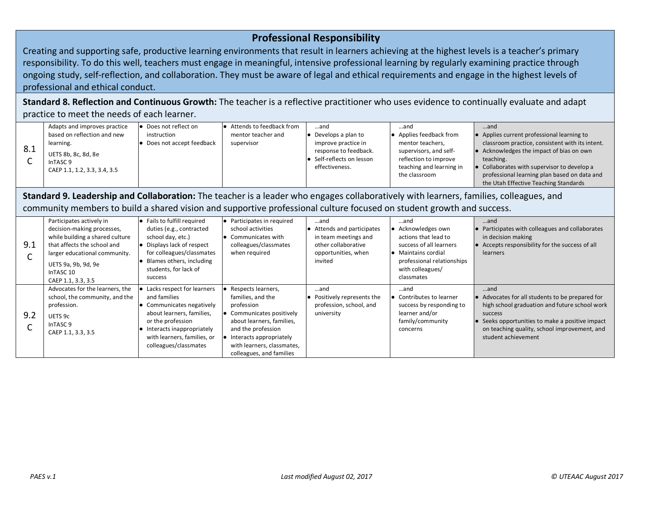## **Professional Responsibility**

Creating and supporting safe, productive learning environments that result in learners achieving at the highest levels is a teacher's primary responsibility. To do this well, teachers must engage in meaningful, intensive professional learning by regularly examining practice through ongoing study, self-reflection, and collaboration. They must be aware of legal and ethical requirements and engage in the highest levels of professional and ethical conduct.

**Standard 8. Reflection and Continuous Growth:** The teacher is a reflective practitioner who uses evidence to continually evaluate and adapt practice to meet the needs of each learner.

|     | Adapts and improves practice                                               | Does not reflect on      | $\bullet$ Attends to feedback from | and                                                                | …and                                                                        | and                                                                                              |
|-----|----------------------------------------------------------------------------|--------------------------|------------------------------------|--------------------------------------------------------------------|-----------------------------------------------------------------------------|--------------------------------------------------------------------------------------------------|
|     | based on reflection and new                                                | instruction              | mentor teacher and                 | Develops a plan to                                                 | • Applies feedback from                                                     | Applies current professional learning to                                                         |
|     | learning.                                                                  | Does not accept feedback | supervisor                         | improve practice in                                                | mentor teachers,                                                            | classroom practice, consistent with its intent.                                                  |
| 8.1 | UETS 8b, 8c, 8d, 8e<br>InTASC <sub>9</sub><br>CAEP 1.1, 1.2, 3.3, 3.4, 3.5 |                          |                                    | response to feedback.<br>Self-reflects on lesson<br>effectiveness. | supervisors, and self-<br>reflection to improve<br>teaching and learning in | Acknowledges the impact of bias on own<br>teaching.<br>Collaborates with supervisor to develop a |
|     |                                                                            |                          |                                    |                                                                    | the classroom                                                               | professional learning plan based on data and<br>the Utah Effective Teaching Standards            |

**Standard 9. Leadership and Collaboration:** The teacher is a leader who engages collaboratively with learners, families, colleagues, and community members to build a shared vision and supportive professional culture focused on student growth and success.

| 9.1 | Participates actively in<br>decision-making processes,<br>while building a shared culture<br>that affects the school and<br>larger educational community.<br>UETS 9a, 9b, 9d, 9e<br>InTASC 10<br>CAEP 1.1, 3.3, 3.5 | $\bullet$ Fails to fulfill required<br>duties (e.g., contracted<br>school day, etc.)<br>• Displays lack of respect<br>for colleagues/classmates<br>Blames others, including<br>students, for lack of<br>success | Participates in required<br>school activities<br>Communicates with<br>colleagues/classmates<br>when required                                                                                                               | …and<br>• Attends and participates<br>in team meetings and<br>other collaborative<br>opportunities, when<br>invited | …and<br>• Acknowledges own<br>actions that lead to<br>success of all learners<br><b>•</b> Maintains cordial<br>professional relationships<br>with colleagues/<br>classmates | and<br>• Participates with colleagues and collaborates<br>in decision making<br>• Accepts responsibility for the success of all<br><b>learners</b>                                                                                           |
|-----|---------------------------------------------------------------------------------------------------------------------------------------------------------------------------------------------------------------------|-----------------------------------------------------------------------------------------------------------------------------------------------------------------------------------------------------------------|----------------------------------------------------------------------------------------------------------------------------------------------------------------------------------------------------------------------------|---------------------------------------------------------------------------------------------------------------------|-----------------------------------------------------------------------------------------------------------------------------------------------------------------------------|----------------------------------------------------------------------------------------------------------------------------------------------------------------------------------------------------------------------------------------------|
| 9.2 | Advocates for the learners, the<br>school, the community, and the<br>profession.<br>UETS 9c<br>InTASC <sub>9</sub><br>CAEP 1.1, 3.3, 3.5                                                                            | Lacks respect for learners<br>and families<br>Communicates negatively<br>about learners, families,<br>or the profession<br>Interacts inappropriately<br>with learners, families, or<br>colleagues/classmates    | Respects learners,<br>families, and the<br>profession<br>• Communicates positively<br>about learners, families,<br>and the profession<br>Interacts appropriately<br>with learners, classmates,<br>colleagues, and families | and<br>• Positively represents the<br>profession, school, and<br>university                                         | and<br>• Contributes to learner<br>success by responding to<br>learner and/or<br>family/community<br>concerns                                                               | and<br>• Advocates for all students to be prepared for<br>high school graduation and future school work<br>success<br>• Seeks opportunities to make a positive impact<br>on teaching quality, school improvement, and<br>student achievement |